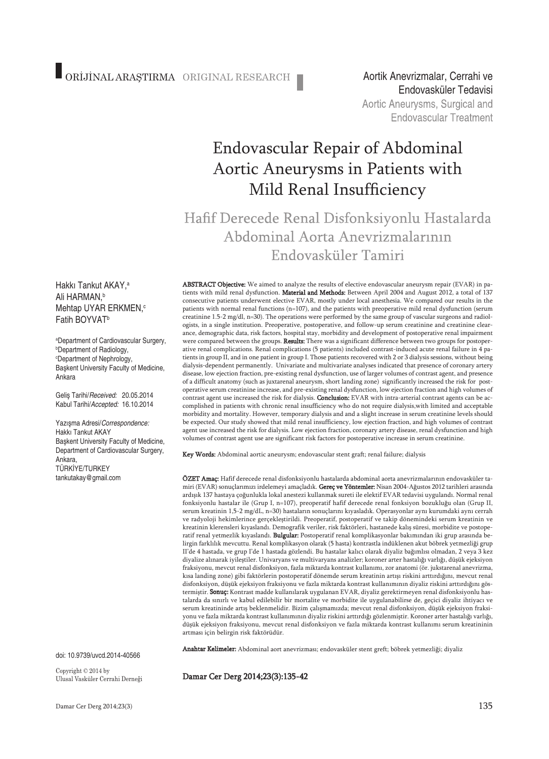Endovasküler TedavisiAortic Aneurysms, Surgical and **Endovascular Treatment** 

# Endovascular Repair of Abdominal Aortic Aneurysms in Patients with Mild Renal Insufficiency

Hafif Derecede Renal Disfonksiyonlu Hastalarda Abdominal Aorta Anevrizmalarının Endovasküler Tamiri

Hakkı Tankut AKAY, a Ali HARMAN, b Mehtap UYAR ERKMEN,<sup>c</sup> Fatih BOYVATb

a Department of Cardiovascular Surgery, b Department of Radiology, c Department of Nephrology, Başkent University Faculty of Medicine, Ankara

Geliş Tarihi/*Received:* 20.05.2014 Kabul Tarihi/*Accepted:* 16.10.2014

Yazışma Adresi/*Correspondence:* Hakkı Tankut AKAY Başkent University Faculty of Medicine, Department of Cardiovascular Surgery, Ankara, TÜRKİYE/TURKEY tankutakay@gmail.com

doi: 10.9739/uvcd.2014-40566

Copyright © 2014 by Ulusal Vasküler Cerrahi Derneği

ABSTRACT Objective: We aimed to analyze the results of elective endovascular aneurysm repair (EVAR) in patients with mild renal dysfunction. Material and Methods: Between April 2004 and August 2012, a total of 137 consecutive patients underwent elective EVAR, mostly under local anesthesia. We compared our results in the patients with normal renal functions (n=107), and the patients with preoperative mild renal dysfunction (serum creatinine 1.5-2 mg/dl, n=30). The operations were performed by the same group of vascular surgeons and radiologists, in a single institution. Preoperative, postoperative, and follow-up serum creatinine and creatinine clearance, demographic data, risk factors, hospital stay, morbidity and development of postoperative renal impairment were compared between the groups. Results: There was a significant difference between two groups for postoperative renal complications. Renal complications (5 patients) included contrast-induced acute renal failure in 4 patients in group II, and in one patient in group I. Those patients recovered with 2 or 3 dialysis sessions, without being dialysis-dependent permanently. Univariate and multivariate analyses indicated that presence of coronary artery disease, low ejection fraction, pre-existing renal dysfunction, use of larger volumes of contrast agent, and presence of a difficult anatomy (such as juxtarenal aneurysm, short landing zone) significantly increased the risk for postoperative serum creatinine increase, and pre-existing renal dysfunction, low ejection fraction and high volumes of contrast agent use increased the risk for dialysis. Conclusion: EVAR with intra-arterial contrast agents can be accomplished in patients with chronic renal insufficiency who do not require dialysis,with limited and acceptable morbidity and mortality. However, temporary dialysis and and a slight increase in serum creatinine levels should be expected. Our study showed that mild renal insufficiency, low ejection fraction, and high volumes of contrast agent use increased the risk for dialysis. Low ejection fraction, coronary artery disease, renal dysfunction and high volumes of contrast agent use are significant risk factors for postoperative increase in serum creatinine.

Key Words: Abdominal aortic aneurysm; endovascular stent graft; renal failure; dialysis

ÖZET Amaç: Hafif derecede renal disfonksiyonlu hastalarda abdominal aorta anevrizmalarının endovasküler tamiri (EVAR) sonuçlarımızı irdelemeyi amaçladık. Gereç ve Yöntemler: Nisan 2004-Ağustos 2012 tarihleri arasında ardışık 137 hastaya çoğunlukla lokal anestezi kullanmak sureti ile elektif EVAR tedavisi uygulandı. Normal renal fonksiyonlu hastalar ile (Grup I, n=107), preoperatif hafif derecede renal fonksiyon bozukluğu olan (Grup II, serum kreatinin 1,5-2 mg/dL, n=30) hastaların sonuçlarını kıyasladık. Operasyonlar aynı kurumdaki aynı cerrah ve radyoloji hekimlerince gerçekleştirildi. Preoperatif, postoperatif ve takip dönemindeki serum kreatinin ve kreatinin klerensleri kıyaslandı. Demografik veriler, risk faktörleri, hastanede kalış süresi, morbidite ve postoperatif renal yetmezlik kıyaslandı. Bulgular: Postoperatif renal komplikasyonlar bakımından iki grup arasında belirgin farklılık mevcuttu. Renal komplikasyon olarak (5 hasta) kontrastla indüklenen akut böbrek yetmezliği grup II'de 4 hastada, ve grup I'de 1 hastada gözlendi. Bu hastalar kalıcı olarak diyaliz bağımlısı olmadan, 2 veya 3 kez diyalize alınarak iyileştiler. Univaryans ve multivaryans analizler; koroner arter hastalığı varlığı, düşük ejeksiyon fraksiyonu, mevcut renal disfonksiyon, fazla miktarda kontrast kullanımı, zor anatomi (ör. jukstarenal anevrizma, kısa landing zone) gibi faktörlerin postoperatif dönemde serum kreatinin artışı riskini arttırdığını, mevcut renal disfonksiyon, düşük ejeksiyon fraksiyonu ve fazla miktarda kontrast kullanımının diyaliz riskini arttırdığını göstermiştir. Sonuç: Kontrast madde kullanılarak uygulanan EVAR, diyaliz gerektirmeyen renal disfonksiyonlu hastalarda da sınırlı ve kabul edilebilir bir mortalite ve morbidite ile uygulanabilirse de, geçici diyaliz ihtiyacı ve serum kreatininde artış beklenmelidir. Bizim çalışmamızda; mevcut renal disfonksiyon, düşük ejeksiyon fraksiyonu ve fazla miktarda kontrast kullanımının diyaliz riskini arttırdığı gözlenmiştir. Koroner arter hastalığı varlığı, düşük ejeksiyon fraksiyonu, mevcut renal disfonksiyon ve fazla miktarda kontrast kullanımı serum kreatininin artması için belirgin risk faktörüdür.

Anahtar Kelimeler: Abdominal aort anevrizması; endovasküler stent greft; böbrek yetmezliği; diyaliz

Damar Cer Derg 2014;23(3):135-42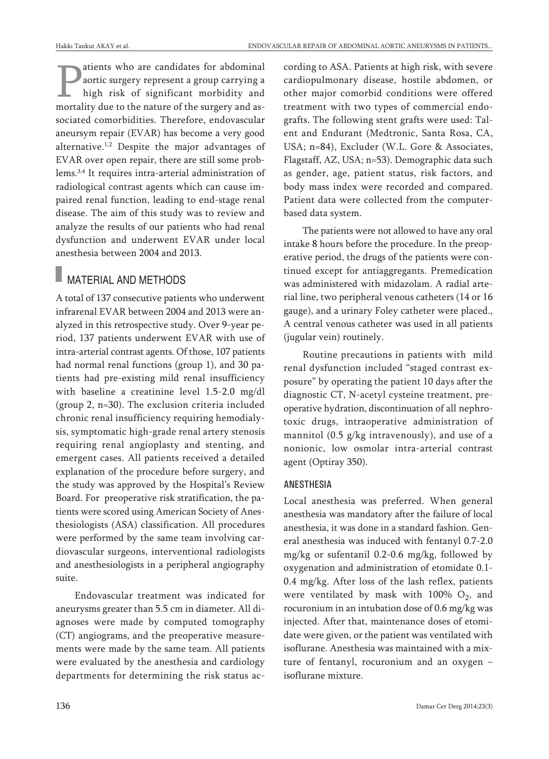atients who are candidates for abdominal aortic surgery represent a group carrying a high risk of significant morbidity and mortality due to the nature of the surgery and associated comorbidities. Therefore, endovascular aneursym repair (EVAR) has become a very good alternative. 1,2 Despite the major advantages of EVAR over open repair, there are still some problems. 3,4 It requires intra-arterial administration of radiological contrast agents which can cause impaired renal function, leading to end-stage renal disease. The aim of this study was to review and analyze the results of our patients who had renal dysfunction and underwent EVAR under local anesthesia between 2004 and 2013.

### **MATERIAL AND METHODS**

A total of 137 consecutive patients who underwent infrarenal EVAR between 2004 and 2013 were analyzed in this retrospective study. Over 9-year period, 137 patients underwent EVAR with use of intra-arterial contrast agents. Of those, 107 patients had normal renal functions (group 1), and 30 patients had pre-existing mild renal insufficiency with baseline a creatinine level 1.5-2.0 mg/dl (group 2, n=30). The exclusion criteria included chronic renal insufficiency requiring hemodialysis, symptomatic high-grade renal artery stenosis requiring renal angioplasty and stenting, and emergent cases. All patients received a detailed explanation of the procedure before surgery, and the study was approved by the Hospital's Review Board. For preoperative risk stratification, the patients were scored using American Society of Anesthesiologists (ASA) classification. All procedures were performed by the same team involving cardiovascular surgeons, interventional radiologists and anesthesiologists in a peripheral angiography suite.

Endovascular treatment was indicated for aneurysms greater than 5.5 cm in diameter. All diagnoses were made by computed tomography (CT) angiograms, and the preoperative measurements were made by the same team. All patients were evaluated by the anesthesia and cardiology departments for determining the risk status according to ASA. Patients at high risk, with severe cardiopulmonary disease, hostile abdomen, or other major comorbid conditions were offered treatment with two types of commercial endografts. The following stent grafts were used: Talent and Endurant (Medtronic, Santa Rosa, CA, USA; n=84), Excluder (W.L. Gore & Associates, Flagstaff, AZ, USA; n=53). Demographic data such as gender, age, patient status, risk factors, and body mass index were recorded and compared. Patient data were collected from the computerbased data system.

The patients were not allowed to have any oral intake 8 hours before the procedure. In the preoperative period, the drugs of the patients were continued except for antiaggregants. Premedication was administered with midazolam. A radial arterial line, two peripheral venous catheters (14 or 16 gauge), and a urinary Foley catheter were placed., A central venous catheter was used in all patients (jugular vein) routinely.

Routine precautions in patients with mild renal dysfunction included "staged contrast exposure" by operating the patient 10 days after the diagnostic CT, N-acetyl cysteine treatment, preoperative hydration, discontinuation of all nephrotoxic drugs, intraoperative administration of mannitol (0.5 g/kg intravenously), and use of a nonionic, low osmolar intra-arterial contrast agent (Optiray 350).

#### ANESTHESIA

Local anesthesia was preferred. When general anesthesia was mandatory after the failure of local anesthesia, it was done in a standard fashion. General anesthesia was induced with fentanyl 0.7-2.0 mg/kg or sufentanil 0.2-0.6 mg/kg, followed by oxygenation and administration of etomidate 0.1- 0.4 mg/kg. After loss of the lash reflex, patients were ventilated by mask with  $100\%$  O<sub>2</sub>, and rocuronium in an intubation dose of 0.6 mg/kg was injected. After that, maintenance doses of etomidate were given, or the patient was ventilated with isoflurane. Anesthesia was maintained with a mixture of fentanyl, rocuronium and an oxygen – isoflurane mixture.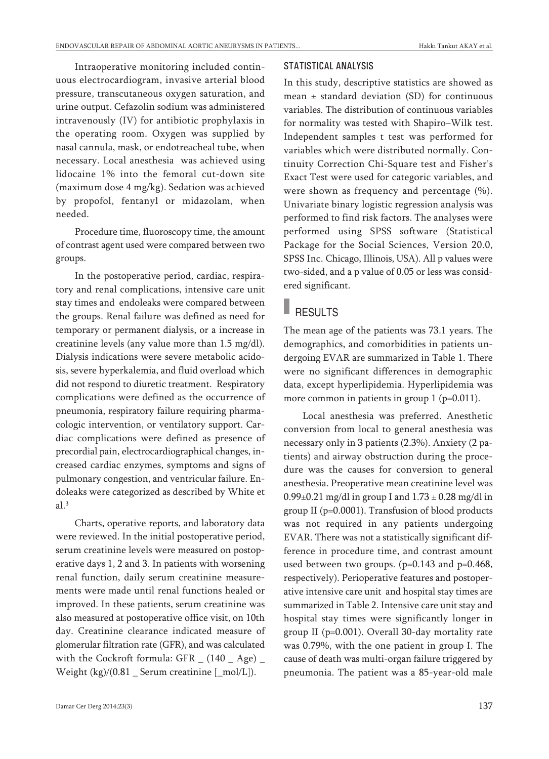Intraoperative monitoring included continuous electrocardiogram, invasive arterial blood pressure, transcutaneous oxygen saturation, and urine output. Cefazolin sodium was administered intravenously (IV) for antibiotic prophylaxis in the operating room. Oxygen was supplied by nasal cannula, mask, or endotreacheal tube, when necessary. Local anesthesia was achieved using lidocaine 1% into the femoral cut-down site (maximum dose 4 mg/kg). Sedation was achieved by propofol, fentanyl or midazolam, when needed.

Procedure time, fluoroscopy time, the amount of contrast agent used were compared between two groups.

In the postoperative period, cardiac, respiratory and renal complications, intensive care unit stay times and endoleaks were compared between the groups. Renal failure was defined as need for temporary or permanent dialysis, or a increase in creatinine levels (any value more than 1.5 mg/dl). Dialysis indications were severe metabolic acidosis, severe hyperkalemia, and fluid overload which did not respond to diuretic treatment. Respiratory complications were defined as the occurrence of pneumonia, respiratory failure requiring pharmacologic intervention, or ventilatory support. Cardiac complications were defined as presence of precordial pain, electrocardiographical changes, increased cardiac enzymes, symptoms and signs of pulmonary congestion, and ventricular failure. Endoleaks were categorized as described by White et al. 3

Charts, operative reports, and laboratory data were reviewed. In the initial postoperative period, serum creatinine levels were measured on postoperative days 1, 2 and 3. In patients with worsening renal function, daily serum creatinine measurements were made until renal functions healed or improved. In these patients, serum creatinine was also measured at postoperative office visit, on 10th day. Creatinine clearance indicated measure of glomerular filtration rate (GFR), and was calculated with the Cockroft formula: GFR  $_$  (140  $_$  Age)  $_$ Weight  $\frac{kg}{0.81}$  Serum creatinine  $\frac{mol}{L}$ .

#### STATISTICAL ANALYSIS

In this study, descriptive statistics are showed as mean  $\pm$  standard deviation (SD) for continuous variables. The distribution of continuous variables for normality was tested with Shapiro–Wilk test. Independent samples t test was performed for variables which were distributed normally. Continuity Correction Chi-Square test and Fisher's Exact Test were used for categoric variables, and were shown as frequency and percentage (%). Univariate binary logistic regression analysis was performed to find risk factors. The analyses were performed using SPSS software (Statistical Package for the Social Sciences, Version 20.0, SPSS Inc. Chicago, Illinois, USA). All p values were two-sided, and a p value of 0.05 or less was considered significant.

### **RESULTS**

The mean age of the patients was 73.1 years. The demographics, and comorbidities in patients undergoing EVAR are summarized in Table 1. There were no significant differences in demographic data, except hyperlipidemia. Hyperlipidemia was more common in patients in group 1 (p=0.011).

Local anesthesia was preferred. Anesthetic conversion from local to general anesthesia was necessary only in 3 patients (2.3%). Anxiety (2 patients) and airway obstruction during the procedure was the causes for conversion to general anesthesia. Preoperative mean creatinine level was  $0.99\pm0.21$  mg/dl in group I and  $1.73\pm0.28$  mg/dl in group II (p=0.0001). Transfusion of blood products was not required in any patients undergoing EVAR. There was not a statistically significant difference in procedure time, and contrast amount used between two groups. (p=0.143 and p=0.468, respectively). Perioperative features and postoperative intensive care unit and hospital stay times are summarized in Table 2. Intensive care unit stay and hospital stay times were significantly longer in group II (p=0.001). Overall 30-day mortality rate was 0.79%, with the one patient in group I. The cause of death was multi-organ failure triggered by pneumonia. The patient was a 85-year-old male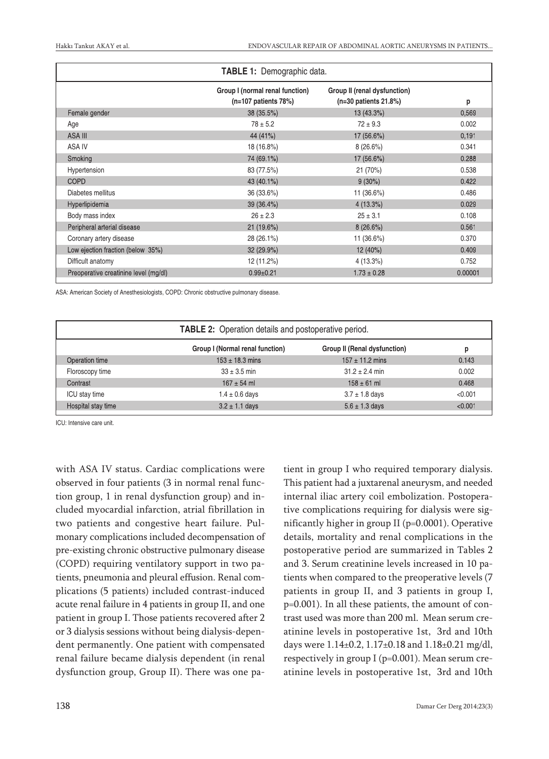| <b>TABLE 1: Demographic data.</b>     |                                                           |                                                         |         |  |  |
|---------------------------------------|-----------------------------------------------------------|---------------------------------------------------------|---------|--|--|
|                                       | Group I (normal renal function)<br>$(n=107$ patients 78%) | Group II (renal dysfunction)<br>$(n=30$ patients 21.8%) | p       |  |  |
| Female gender                         | 38 (35.5%)                                                | $13(43.3\%)$                                            | 0,569   |  |  |
| Age                                   | $78 \pm 5.2$                                              | $72 \pm 9.3$                                            | 0.002   |  |  |
| ASA III                               | 44 (41%)                                                  | 17 (56.6%)                                              | 0,191   |  |  |
| ASA IV                                | 18 (16.8%)                                                | 8(26.6%)                                                | 0.341   |  |  |
| Smoking                               | 74 (69.1%)                                                | 17 (56.6%)                                              | 0.288   |  |  |
| Hypertension                          | 83 (77.5%)                                                | 21 (70%)                                                | 0.538   |  |  |
| <b>COPD</b>                           | 43 (40.1%)                                                | $9(30\%)$                                               | 0.422   |  |  |
| Diabetes mellitus                     | 36 (33.6%)                                                | 11 (36.6%)                                              | 0.486   |  |  |
| Hyperlipidemia                        | 39 (36.4%)                                                | $4(13.3\%)$                                             | 0.029   |  |  |
| Body mass index                       | $26 \pm 2.3$                                              | $25 \pm 3.1$                                            | 0.108   |  |  |
| Peripheral arterial disease           | 21 (19.6%)                                                | 8(26.6%)                                                | 0.561   |  |  |
| Coronary artery disease               | 28 (26.1%)                                                | 11 (36.6%)                                              | 0.370   |  |  |
| Low ejection fraction (below 35%)     | 32 (29.9%)                                                | 12(40%)                                                 | 0.409   |  |  |
| Difficult anatomy                     | 12 (11.2%)                                                | 4 (13.3%)                                               | 0.752   |  |  |
| Preoperative creatinine level (mg/dl) | $0.99 \pm 0.21$                                           | $1.73 \pm 0.28$                                         | 0.00001 |  |  |

ASA: American Society of Anesthesiologists, COPD: Chronic obstructive pulmonary disease.

| <b>TABLE 2:</b> Operation details and postoperative period. |                                 |                              |         |  |  |
|-------------------------------------------------------------|---------------------------------|------------------------------|---------|--|--|
|                                                             | Group I (Normal renal function) | Group II (Renal dysfunction) | р       |  |  |
| Operation time                                              | $153 \pm 18.3$ mins             | $157 \pm 11.2$ mins          | 0.143   |  |  |
| Floroscopy time                                             | $33 \pm 3.5$ min                | $31.2 \pm 2.4$ min           | 0.002   |  |  |
| Contrast                                                    | $167 + 54$ ml                   | $158 \pm 61$ ml              | 0.468   |  |  |
| ICU stay time                                               | $1.4 \pm 0.6$ days              | $3.7 \pm 1.8$ days           | < 0.001 |  |  |
| Hospital stay time                                          | $3.2 \pm 1.1$ days              | $5.6 \pm 1.3$ days           | < 0.001 |  |  |

ICU: Intensive care unit.

with ASA IV status. Cardiac complications were observed in four patients (3 in normal renal function group, 1 in renal dysfunction group) and included myocardial infarction, atrial fibrillation in two patients and congestive heart failure. Pulmonary complications included decompensation of pre-existing chronic obstructive pulmonary disease (COPD) requiring ventilatory support in two patients, pneumonia and pleural effusion. Renal complications (5 patients) included contrast-induced acute renal failure in 4 patients in group II, and one patient in group I. Those patients recovered after 2 or 3 dialysis sessions without being dialysis-dependent permanently. One patient with compensated renal failure became dialysis dependent (in renal dysfunction group, Group II). There was one pa-

tient in group I who required temporary dialysis. This patient had a juxtarenal aneurysm, and needed internal iliac artery coil embolization. Postoperative complications requiring for dialysis were significantly higher in group II (p=0.0001). Operative details, mortality and renal complications in the postoperative period are summarized in Tables 2 and 3. Serum creatinine levels increased in 10 patients when compared to the preoperative levels (7 patients in group II, and 3 patients in group I, p=0.001). In all these patients, the amount of contrast used was more than 200 ml. Mean serum creatinine levels in postoperative 1st, 3rd and 10th days were  $1.14\pm0.2$ ,  $1.17\pm0.18$  and  $1.18\pm0.21$  mg/dl, respectively in group I (p=0.001). Mean serum creatinine levels in postoperative 1st, 3rd and 10th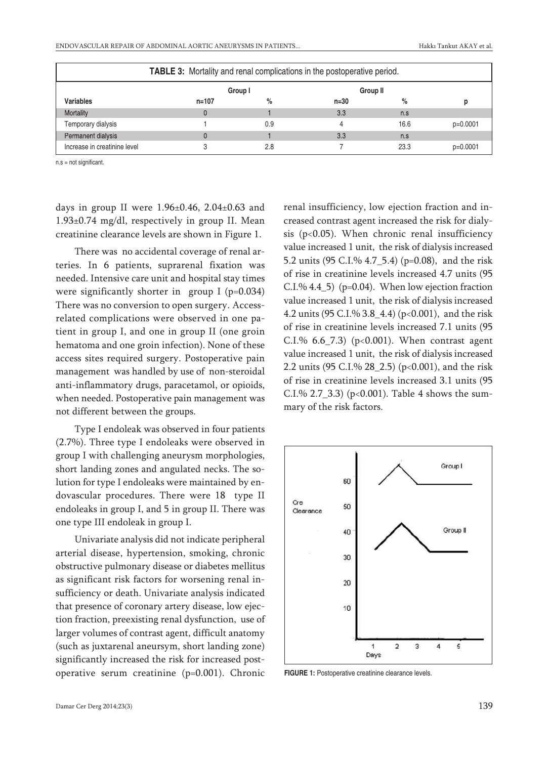| <b>TABLE 3:</b> Mortality and renal complications in the postoperative period. |           |         |        |                 |            |
|--------------------------------------------------------------------------------|-----------|---------|--------|-----------------|------------|
|                                                                                |           | Group I |        | <b>Group II</b> |            |
| <b>Variables</b>                                                               | $n = 107$ | %       | $n=30$ | %               |            |
| Mortality                                                                      | $\Omega$  |         | 3.3    | n.s             |            |
| Temporary dialysis                                                             |           | 0.9     |        | 16.6            | $p=0.0001$ |
| Permanent dialysis                                                             |           |         | 3.3    | n.s             |            |
| Increase in creatinine level                                                   |           | 2.8     |        | 23.3            | $p=0.0001$ |

n.s = not significant.

days in group II were 1.96±0.46, 2.04±0.63 and 1.93±0.74 mg/dl, respectively in group II. Mean creatinine clearance levels are shown in Figure 1.

There was no accidental coverage of renal arteries. In 6 patients, suprarenal fixation was needed. Intensive care unit and hospital stay times were significantly shorter in group I  $(p=0.034)$ There was no conversion to open surgery. Accessrelated complications were observed in one patient in group I, and one in group II (one groin hematoma and one groin infection). None of these access sites required surgery. Postoperative pain management was handled by use of non-steroidal anti-inflammatory drugs, paracetamol, or opioids, when needed. Postoperative pain management was not different between the groups.

Type I endoleak was observed in four patients (2.7%). Three type I endoleaks were observed in group I with challenging aneurysm morphologies, short landing zones and angulated necks. The solution for type I endoleaks were maintained by endovascular procedures. There were 18 type II endoleaks in group I, and 5 in group II. There was one type III endoleak in group I.

Univariate analysis did not indicate peripheral arterial disease, hypertension, smoking, chronic obstructive pulmonary disease or diabetes mellitus as significant risk factors for worsening renal insufficiency or death. Univariate analysis indicated that presence of coronary artery disease, low ejection fraction, preexisting renal dysfunction, use of larger volumes of contrast agent, difficult anatomy (such as juxtarenal aneursym, short landing zone) significantly increased the risk for increased postoperative serum creatinine (p=0.001). Chronic

renal insufficiency, low ejection fraction and increased contrast agent increased the risk for dialysis ( $p<0.05$ ). When chronic renal insufficiency value increased 1 unit, the risk of dialysis increased 5.2 units (95 C.I.% 4.7\_5.4) (p=0.08), and the risk of rise in creatinine levels increased 4.7 units (95 C.I.%  $4.4\text{--}5$ ) (p=0.04). When low ejection fraction value increased 1 unit, the risk of dialysis increased 4.2 units (95 C.I.% 3.8\_4.4) (p<0.001), and the risk of rise in creatinine levels increased 7.1 units (95 C.I.%  $6.6$  –7.3) (p<0.001). When contrast agent value increased 1 unit, the risk of dialysis increased 2.2 units (95 C.I.% 28\_2.5) (p<0.001), and the risk of rise in creatinine levels increased 3.1 units (95 C.I.% 2.7\_3.3) ( $p<0.001$ ). Table 4 shows the summary of the risk factors.



**FIGURE 1:** Postoperative creatinine clearance levels.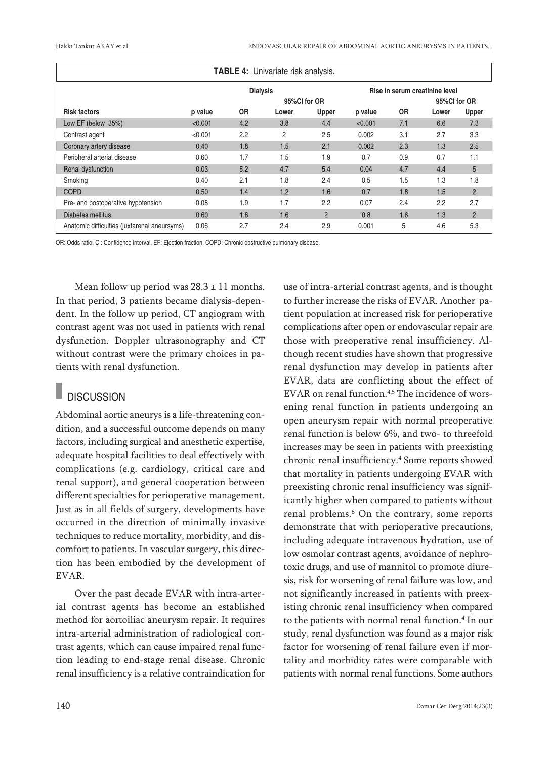| <b>TABLE 4:</b> Univariate risk analysis.    |                 |           |       |                |         |                                |       |                |
|----------------------------------------------|-----------------|-----------|-------|----------------|---------|--------------------------------|-------|----------------|
|                                              | <b>Dialysis</b> |           |       |                |         | Rise in serum creatinine level |       |                |
|                                              | 95%CI for OR    |           |       |                |         | 95%Cl for OR                   |       |                |
| <b>Risk factors</b>                          | p value         | <b>OR</b> | Lower | Upper          | p value | <b>OR</b>                      | Lower | Upper          |
| Low EF (below 35%)                           | < 0.001         | 4.2       | 3.8   | 4.4            | < 0.001 | 7.1                            | 6.6   | 7.3            |
| Contrast agent                               | < 0.001         | 2.2       | 2     | 2.5            | 0.002   | 3.1                            | 2.7   | 3.3            |
| Coronary artery disease                      | 0.40            | 1.8       | 1.5   | 2.1            | 0.002   | 2.3                            | 1.3   | 2.5            |
| Peripheral arterial disease                  | 0.60            | 1.7       | 1.5   | 1.9            | 0.7     | 0.9                            | 0.7   | 1.1            |
| Renal dysfunction                            | 0.03            | 5.2       | 4.7   | 5.4            | 0.04    | 4.7                            | 4.4   | 5              |
| Smoking                                      | 0.40            | 2.1       | 1.8   | 2.4            | 0.5     | 1.5                            | 1.3   | 1.8            |
| <b>COPD</b>                                  | 0.50            | 1.4       | 1.2   | 1.6            | 0.7     | 1.8                            | 1.5   | $\overline{2}$ |
| Pre- and postoperative hypotension           | 0.08            | 1.9       | 1.7   | 2.2            | 0.07    | 2.4                            | 2.2   | 2.7            |
| Diabetes mellitus                            | 0.60            | 1.8       | 1.6   | $\overline{2}$ | 0.8     | 1.6                            | 1.3   | $\overline{2}$ |
| Anatomic difficulties (juxtarenal aneursyms) | 0.06            | 2.7       | 2.4   | 2.9            | 0.001   | 5                              | 4.6   | 5.3            |

OR: Odds ratio, CI: Confidence interval, EF: Ejection fraction, COPD: Chronic obstructive pulmonary disease.

Mean follow up period was  $28.3 \pm 11$  months. In that period, 3 patients became dialysis-dependent. In the follow up period, CT angiogram with contrast agent was not used in patients with renal dysfunction. Doppler ultrasonography and CT without contrast were the primary choices in patients with renal dysfunction.

## **DISCUSSION**

Abdominal aortic aneurys is a life-threatening condition, and a successful outcome depends on many factors, including surgical and anesthetic expertise, adequate hospital facilities to deal effectively with complications (e.g. cardiology, critical care and renal support), and general cooperation between different specialties for perioperative management. Just as in all fields of surgery, developments have occurred in the direction of minimally invasive techniques to reduce mortality, morbidity, and discomfort to patients. In vascular surgery, this direction has been embodied by the development of EVAR.

Over the past decade EVAR with intra-arterial contrast agents has become an established method for aortoiliac aneurysm repair. It requires intra-arterial administration of radiological contrast agents, which can cause impaired renal function leading to end-stage renal disease. Chronic renal insufficiency is a relative contraindication for use of intra-arterial contrast agents, and is thought to further increase the risks of EVAR. Another patient population at increased risk for perioperative complications after open or endovascular repair are those with preoperative renal insufficiency. Although recent studies have shown that progressive renal dysfunction may develop in patients after EVAR, data are conflicting about the effect of EVAR on renal function.<sup>4,5</sup> The incidence of worsening renal function in patients undergoing an open aneurysm repair with normal preoperative renal function is below 6%, and two- to threefold increases may be seen in patients with preexisting chronic renal insufficiency. <sup>4</sup> Some reports showed that mortality in patients undergoing EVAR with preexisting chronic renal insufficiency was significantly higher when compared to patients without renal problems. <sup>6</sup> On the contrary, some reports demonstrate that with perioperative precautions, including adequate intravenous hydration, use of low osmolar contrast agents, avoidance of nephrotoxic drugs, and use of mannitol to promote diuresis, risk for worsening of renal failure was low, and not significantly increased in patients with preexisting chronic renal insufficiency when compared to the patients with normal renal function. <sup>4</sup> In our study, renal dysfunction was found as a major risk factor for worsening of renal failure even if mortality and morbidity rates were comparable with patients with normal renal functions. Some authors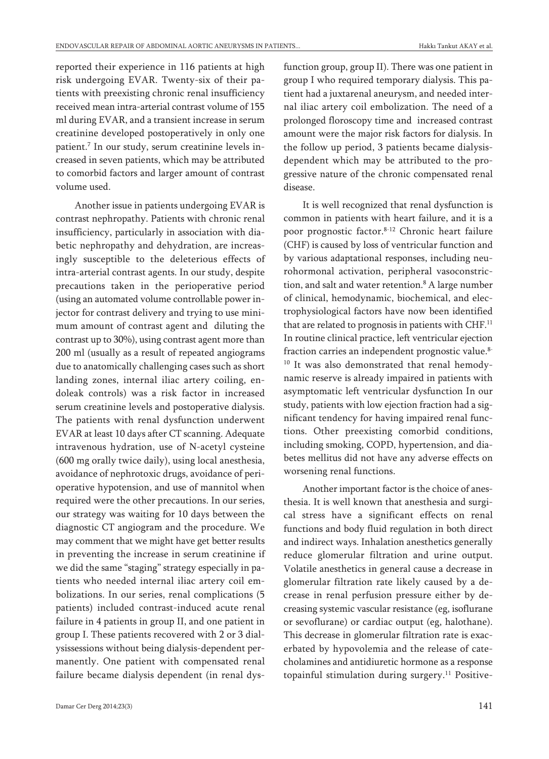reported their experience in 116 patients at high risk undergoing EVAR. Twenty-six of their patients with preexisting chronic renal insufficiency received mean intra-arterial contrast volume of 155 ml during EVAR, and a transient increase in serum creatinine developed postoperatively in only one patient. <sup>7</sup> In our study, serum creatinine levels increased in seven patients, which may be attributed to comorbid factors and larger amount of contrast volume used.

Another issue in patients undergoing EVAR is contrast nephropathy. Patients with chronic renal insufficiency, particularly in association with diabetic nephropathy and dehydration, are increasingly susceptible to the deleterious effects of intra-arterial contrast agents. In our study, despite precautions taken in the perioperative period (using an automated volume controllable power injector for contrast delivery and trying to use minimum amount of contrast agent and diluting the contrast up to 30%), using contrast agent more than 200 ml (usually as a result of repeated angiograms due to anatomically challenging cases such as short landing zones, internal iliac artery coiling, endoleak controls) was a risk factor in increased serum creatinine levels and postoperative dialysis. The patients with renal dysfunction underwent EVAR at least 10 days after CT scanning. Adequate intravenous hydration, use of N-acetyl cysteine (600 mg orally twice daily), using local anesthesia, avoidance of nephrotoxic drugs, avoidance of perioperative hypotension, and use of mannitol when required were the other precautions. In our series, our strategy was waiting for 10 days between the diagnostic CT angiogram and the procedure. We may comment that we might have get better results in preventing the increase in serum creatinine if we did the same "staging" strategy especially in patients who needed internal iliac artery coil embolizations. In our series, renal complications (5 patients) included contrast-induced acute renal failure in 4 patients in group II, and one patient in group I. These patients recovered with 2 or 3 dialysissessions without being dialysis-dependent permanently. One patient with compensated renal failure became dialysis dependent (in renal dysfunction group, group II). There was one patient in group I who required temporary dialysis. This patient had a juxtarenal aneurysm, and needed internal iliac artery coil embolization. The need of a prolonged floroscopy time and increased contrast amount were the major risk factors for dialysis. In the follow up period, 3 patients became dialysisdependent which may be attributed to the progressive nature of the chronic compensated renal disease.

It is well recognized that renal dysfunction is common in patients with heart failure, and it is a poor prognostic factor. 8-12 Chronic heart failure (CHF) is caused by loss of ventricular function and by various adaptational responses, including neurohormonal activation, peripheral vasoconstriction, and salt and water retention. <sup>8</sup> A large number of clinical, hemodynamic, biochemical, and electrophysiological factors have now been identified that are related to prognosis in patients with CHF.<sup>11</sup> In routine clinical practice, left ventricular ejection fraction carries an independent prognostic value. 8- <sup>10</sup> It was also demonstrated that renal hemodynamic reserve is already impaired in patients with asymptomatic left ventricular dysfunction In our study, patients with low ejection fraction had a significant tendency for having impaired renal functions. Other preexisting comorbid conditions, including smoking, COPD, hypertension, and diabetes mellitus did not have any adverse effects on worsening renal functions.

Another important factor is the choice of anesthesia. It is well known that anesthesia and surgical stress have a significant effects on renal functions and body fluid regulation in both direct and indirect ways. Inhalation anesthetics generally reduce glomerular filtration and urine output. Volatile anesthetics in general cause a decrease in glomerular filtration rate likely caused by a decrease in renal perfusion pressure either by decreasing systemic vascular resistance (eg, isoflurane or sevoflurane) or cardiac output (eg, halothane). This decrease in glomerular filtration rate is exacerbated by hypovolemia and the release of catecholamines and antidiuretic hormone as a response topainful stimulation during surgery. <sup>11</sup> Positive